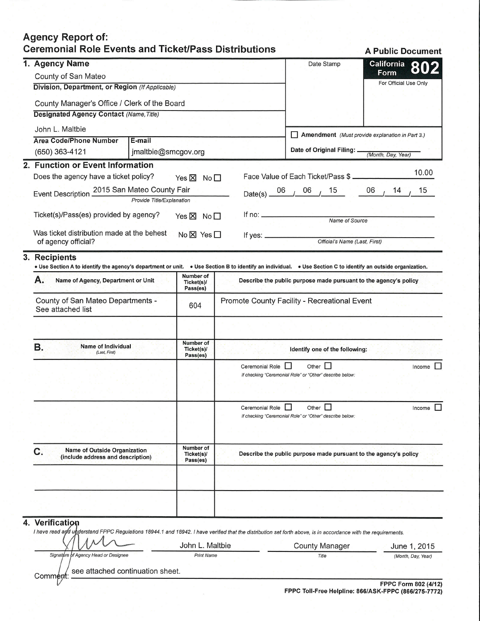## **Agency Report of: Ceremonial Role Events and Ticket/Pass Distributions**

**A Public Document** 1. Agency Name **California** Date Stamp Form County of San Mateo For Official Use Only Division, Department, or Region (If Applicable) County Manager's Office / Clerk of the Board **Designated Agency Contact (Name, Title)** John L. Maltbie Amendment (Must provide explanation in Part 3.) **Area Code/Phone Number** E-mail Date of Original Filing: . (650) 363-4121 jmaltbie@smcgov.org (Month, Day, Year) 2. Function or Event Information 10.00 Does the agency have a ticket policy? Face Value of Each Ticket/Pass \$. Yes  $\times$  No  $\square$ Event Description 2015 San Mateo County Fair 15 06  $14$ 15 06 06  $Date(s)$   $-$ Provide Title/Explanation Ticket(s)/Pass(es) provided by agency? If no: \_ Yes ⊠ No Name of Source Was ticket distribution made at the behest  $No \boxtimes Yes \Box$ If yes: of agency official? Official's Name (Last, First) 3. **Recipients** . Use Section A to identify the agency's department or unit. . Use Section B to identify an individual. . Use Section C to identify an outside organization. Number of  $A$ : Name of Agency, Department or Unit Describe the public purpose made pursuant to the agency's policy Ticket(s)/ Pass(es) County of San Mateo Departments -Promote County Facility - Recreational Event 604 See attached list **Number of** Name of Individual **B.** Ticket(s)/<br>Pass(es) Identify one of the following: (Last, First) Ceremonial Role <sub>Q</sub> Other  $\Box$ Income  $\square$ If checking "Ceremonial Role" or "Other" describe below: Ceremonial Role <sub>0</sub> Π Other  $\Box$ Income If checking "Ceremonial Role" or "Other" describe below: **Number of Name of Outside Organization**  $\mathbf{C}$ . Describe the public purpose made pursuant to the agency's policy Ticket(s)/ (include address and description) Pass(es) Verification 4. I have read and understand FPPC Regulations 18944.1 and 18942. I have verified that the distribution set forth above, is in accordance with the requirements. John L. Maltbie **County Manager** June 1, 2015 Signature of Agency Head or Designee **Print Name** Title (Month, Day, Year)

see attached continuation sheet. Comment: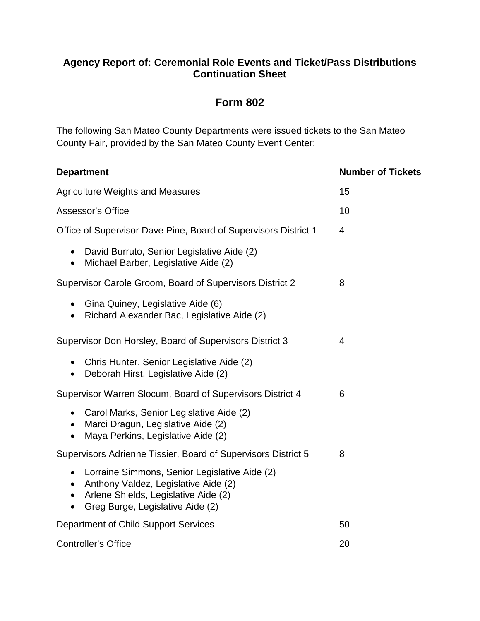## **Agency Report of: Ceremonial Role Events and Ticket/Pass Distributions Continuation Sheet**

## **Form 802**

The following San Mateo County Departments were issued tickets to the San Mateo County Fair, provided by the San Mateo County Event Center:

| <b>Department</b>                                                                                                                                                                             | <b>Number of Tickets</b> |
|-----------------------------------------------------------------------------------------------------------------------------------------------------------------------------------------------|--------------------------|
| <b>Agriculture Weights and Measures</b>                                                                                                                                                       | 15                       |
| Assessor's Office                                                                                                                                                                             | 10                       |
| Office of Supervisor Dave Pine, Board of Supervisors District 1                                                                                                                               | $\overline{4}$           |
| David Burruto, Senior Legislative Aide (2)<br>$\bullet$<br>Michael Barber, Legislative Aide (2)<br>$\bullet$                                                                                  |                          |
| Supervisor Carole Groom, Board of Supervisors District 2                                                                                                                                      | 8                        |
| Gina Quiney, Legislative Aide (6)<br>$\bullet$<br>Richard Alexander Bac, Legislative Aide (2)<br>$\bullet$                                                                                    |                          |
| Supervisor Don Horsley, Board of Supervisors District 3                                                                                                                                       | 4                        |
| Chris Hunter, Senior Legislative Aide (2)<br>Deborah Hirst, Legislative Aide (2)<br>$\bullet$                                                                                                 |                          |
| Supervisor Warren Slocum, Board of Supervisors District 4                                                                                                                                     | 6                        |
| • Carol Marks, Senior Legislative Aide (2)<br>• Marci Dragun, Legislative Aide (2)<br>Maya Perkins, Legislative Aide (2)<br>$\bullet$                                                         |                          |
| Supervisors Adrienne Tissier, Board of Supervisors District 5                                                                                                                                 | 8                        |
| Lorraine Simmons, Senior Legislative Aide (2)<br>$\bullet$<br>Anthony Valdez, Legislative Aide (2)<br>$\bullet$<br>• Arlene Shields, Legislative Aide (2)<br>Greg Burge, Legislative Aide (2) |                          |
| Department of Child Support Services                                                                                                                                                          | 50                       |
| <b>Controller's Office</b>                                                                                                                                                                    | 20                       |